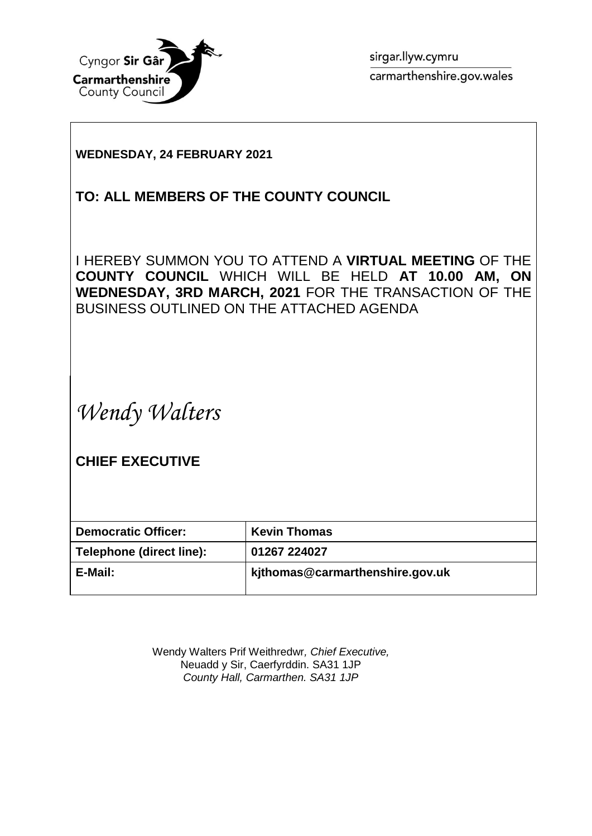

sirgar.llyw.cymru carmarthenshire.gov.wales

### **WEDNESDAY, 24 FEBRUARY 2021**

## **TO: ALL MEMBERS OF THE COUNTY COUNCIL**

I HEREBY SUMMON YOU TO ATTEND A **VIRTUAL MEETING** OF THE **COUNTY COUNCIL** WHICH WILL BE HELD **AT 10.00 AM, ON WEDNESDAY, 3RD MARCH, 2021** FOR THE TRANSACTION OF THE BUSINESS OUTLINED ON THE ATTACHED AGENDA

*Wendy Walters*

**CHIEF EXECUTIVE**

| <b>Democratic Officer:</b> | <b>Kevin Thomas</b>             |
|----------------------------|---------------------------------|
| Telephone (direct line):   | 01267 224027                    |
| E-Mail:                    | kjthomas@carmarthenshire.gov.uk |

Wendy Walters Prif Weithredwr*, Chief Executive,* Neuadd y Sir, Caerfyrddin. SA31 1JP *County Hall, Carmarthen. SA31 1JP*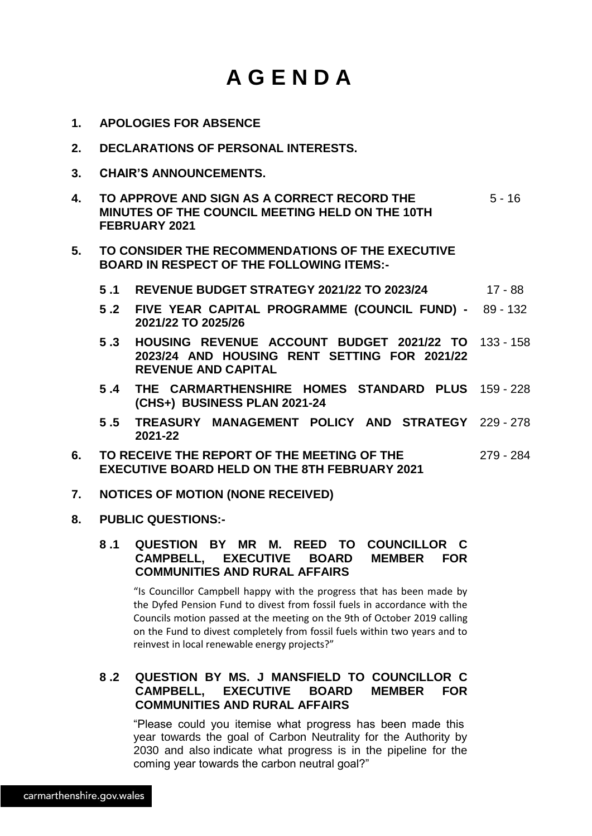# **A G E N D A**

- **1. APOLOGIES FOR ABSENCE**
- **2. DECLARATIONS OF PERSONAL INTERESTS.**
- **3. CHAIR'S ANNOUNCEMENTS.**
- **4. TO APPROVE AND SIGN AS A CORRECT RECORD THE MINUTES OF THE COUNCIL MEETING HELD ON THE 10TH FEBRUARY 2021**  $5 - 16$
- **5. TO CONSIDER THE RECOMMENDATIONS OF THE EXECUTIVE BOARD IN RESPECT OF THE FOLLOWING ITEMS:-**
	- **5 .1 REVENUE BUDGET STRATEGY 2021/22 TO 2023/24** 17 88
	- **5 .2 FIVE YEAR CAPITAL PROGRAMME (COUNCIL FUND) - 2021/22 TO 2025/26** 89 - 132
	- **5 .3 HOUSING REVENUE ACCOUNT BUDGET 2021/22 TO 2023/24 AND HOUSING RENT SETTING FOR 2021/22 REVENUE AND CAPITAL** 133 - 158
	- **5 .4 THE CARMARTHENSHIRE HOMES STANDARD PLUS** 159 228 **(CHS+) BUSINESS PLAN 2021-24**
	- **5 .5 TREASURY MANAGEMENT POLICY AND STRATEGY** 229 278 **2021-22**
- **6. TO RECEIVE THE REPORT OF THE MEETING OF THE EXECUTIVE BOARD HELD ON THE 8TH FEBRUARY 2021** 279 - 284
- **7. NOTICES OF MOTION (NONE RECEIVED)**
- **8. PUBLIC QUESTIONS:-**

#### **8 .1 QUESTION BY MR M. REED TO COUNCILLOR C CAMPBELL, EXECUTIVE BOARD MEMBER FOR COMMUNITIES AND RURAL AFFAIRS**

"Is Councillor Campbell happy with the progress that has been made by the Dyfed Pension Fund to divest from fossil fuels in accordance with the Councils motion passed at the meeting on the 9th of October 2019 calling on the Fund to divest completely from fossil fuels within two years and to reinvest in local renewable energy projects?"

#### **8 .2 QUESTION BY MS. J MANSFIELD TO COUNCILLOR C CAMPBELL, EXECUTIVE BOARD MEMBER FOR COMMUNITIES AND RURAL AFFAIRS**

"Please could you itemise what progress has been made this year towards the goal of Carbon Neutrality for the Authority by 2030 and also indicate what progress is in the pipeline for the coming year towards the carbon neutral goal?"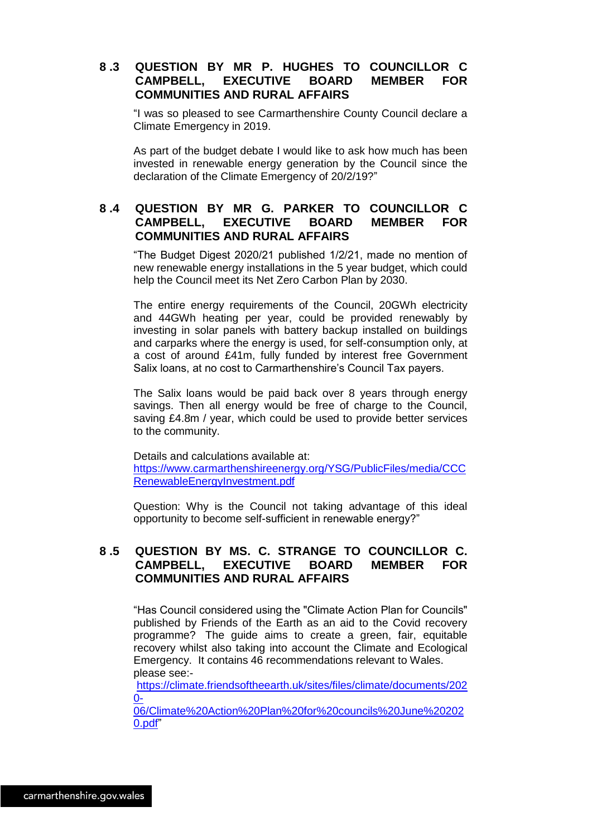#### **8 .3 QUESTION BY MR P. HUGHES TO COUNCILLOR C CAMPBELL, EXECUTIVE BOARD MEMBER FOR COMMUNITIES AND RURAL AFFAIRS**

"I was so pleased to see Carmarthenshire County Council declare a Climate Emergency in 2019.

As part of the budget debate I would like to ask how much has been invested in renewable energy generation by the Council since the declaration of the Climate Emergency of 20/2/19?"

#### **8 .4 QUESTION BY MR G. PARKER TO COUNCILLOR C CAMPBELL, EXECUTIVE BOARD MEMBER FOR COMMUNITIES AND RURAL AFFAIRS**

"The Budget Digest 2020/21 published 1/2/21, made no mention of new renewable energy installations in the 5 year budget, which could help the Council meet its Net Zero Carbon Plan by 2030.

The entire energy requirements of the Council, 20GWh electricity and 44GWh heating per year, could be provided renewably by investing in solar panels with battery backup installed on buildings and carparks where the energy is used, for self-consumption only, at a cost of around £41m, fully funded by interest free Government Salix loans, at no cost to Carmarthenshire's Council Tax payers.

The Salix loans would be paid back over 8 years through energy savings. Then all energy would be free of charge to the Council, saving £4.8m / year, which could be used to provide better services to the community.

Details and calculations available at: [https://www.carmarthenshireenergy.org/YSG/PublicFiles/media/CCC](https://www.carmarthenshireenergy.org/YSG/PublicFiles/media/CCCRenewableEnergyInvestment.pdf) [RenewableEnergyInvestment.pdf](https://www.carmarthenshireenergy.org/YSG/PublicFiles/media/CCCRenewableEnergyInvestment.pdf)

Question: Why is the Council not taking advantage of this ideal opportunity to become self-sufficient in renewable energy?"

#### **8 .5 QUESTION BY MS. C. STRANGE TO COUNCILLOR C. CAMPBELL, EXECUTIVE BOARD MEMBER FOR COMMUNITIES AND RURAL AFFAIRS**

"Has Council considered using the "Climate Action Plan for Councils" published by Friends of the Earth as an aid to the Covid recovery programme? The guide aims to create a green, fair, equitable recovery whilst also taking into account the Climate and Ecological Emergency. It contains 46 recommendations relevant to Wales. please see:-

[https://climate.friendsoftheearth.uk/sites/files/climate/documents/202](https://climate.friendsoftheearth.uk/sites/files/climate/documents/2020-06/Climate%20Action%20Plan%20for%20councils%20June%202020.pdf)  $0-$ 

[06/Climate%20Action%20Plan%20for%20councils%20June%20202](https://climate.friendsoftheearth.uk/sites/files/climate/documents/2020-06/Climate%20Action%20Plan%20for%20councils%20June%202020.pdf) [0.pdf"](https://climate.friendsoftheearth.uk/sites/files/climate/documents/2020-06/Climate%20Action%20Plan%20for%20councils%20June%202020.pdf)